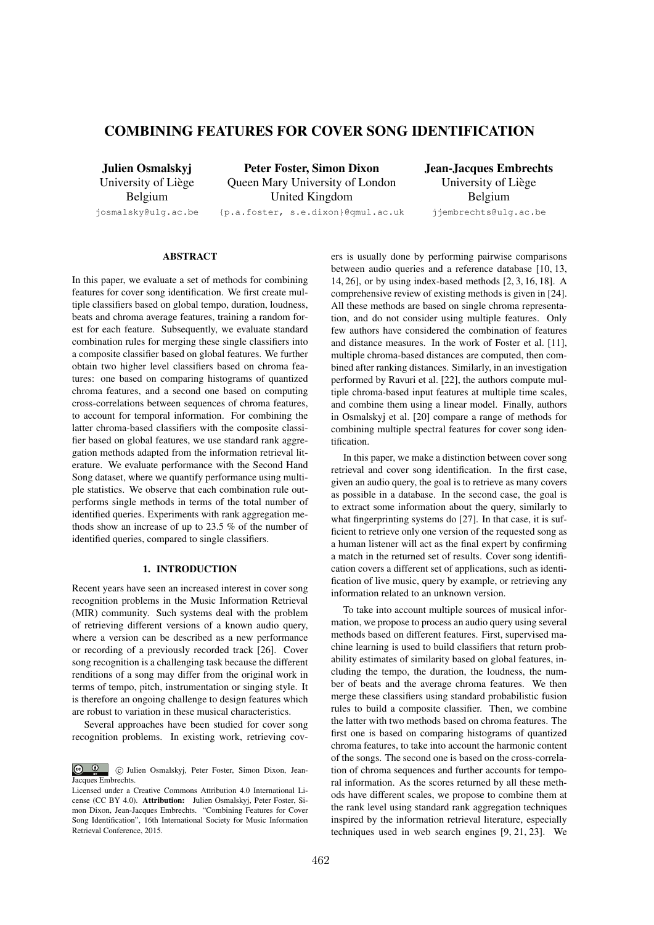# COMBINING FEATURES FOR COVER SONG IDENTIFICATION

Julien Osmalskyj University of Liège Belgium

Peter Foster, Simon Dixon Queen Mary University of London United Kingdom

josmalsky@ulg.ac.be

{p.a.foster, s.e.dixon}@qmul.ac.uk

Jean-Jacques Embrechts University of Liège Belgium jjembrechts@ulg.ac.be

# ABSTRACT

In this paper, we evaluate a set of methods for combining features for cover song identification. We first create multiple classifiers based on global tempo, duration, loudness, beats and chroma average features, training a random forest for each feature. Subsequently, we evaluate standard combination rules for merging these single classifiers into a composite classifier based on global features. We further obtain two higher level classifiers based on chroma features: one based on comparing histograms of quantized chroma features, and a second one based on computing cross-correlations between sequences of chroma features, to account for temporal information. For combining the latter chroma-based classifiers with the composite classifier based on global features, we use standard rank aggregation methods adapted from the information retrieval literature. We evaluate performance with the Second Hand Song dataset, where we quantify performance using multiple statistics. We observe that each combination rule outperforms single methods in terms of the total number of identified queries. Experiments with rank aggregation methods show an increase of up to 23.5 % of the number of identified queries, compared to single classifiers.

## 1. INTRODUCTION

Recent years have seen an increased interest in cover song recognition problems in the Music Information Retrieval (MIR) community. Such systems deal with the problem of retrieving different versions of a known audio query, where a version can be described as a new performance or recording of a previously recorded track [26]. Cover song recognition is a challenging task because the different renditions of a song may differ from the original work in terms of tempo, pitch, instrumentation or singing style. It is therefore an ongoing challenge to design features which are robust to variation in these musical characteristics.

Several approaches have been studied for cover song recognition problems. In existing work, retrieving covers is usually done by performing pairwise comparisons between audio queries and a reference database [10, 13, 14, 26], or by using index-based methods [2, 3, 16, 18]. A comprehensive review of existing methods is given in [24]. All these methods are based on single chroma representation, and do not consider using multiple features. Only few authors have considered the combination of features and distance measures. In the work of Foster et al. [11], multiple chroma-based distances are computed, then combined after ranking distances. Similarly, in an investigation performed by Ravuri et al. [22], the authors compute multiple chroma-based input features at multiple time scales, and combine them using a linear model. Finally, authors in Osmalskyj et al. [20] compare a range of methods for combining multiple spectral features for cover song identification.

In this paper, we make a distinction between cover song retrieval and cover song identification. In the first case, given an audio query, the goal is to retrieve as many covers as possible in a database. In the second case, the goal is to extract some information about the query, similarly to what fingerprinting systems do [27]. In that case, it is sufficient to retrieve only one version of the requested song as a human listener will act as the final expert by confirming a match in the returned set of results. Cover song identification covers a different set of applications, such as identification of live music, query by example, or retrieving any information related to an unknown version.

To take into account multiple sources of musical information, we propose to process an audio query using several methods based on different features. First, supervised machine learning is used to build classifiers that return probability estimates of similarity based on global features, including the tempo, the duration, the loudness, the number of beats and the average chroma features. We then merge these classifiers using standard probabilistic fusion rules to build a composite classifier. Then, we combine the latter with two methods based on chroma features. The first one is based on comparing histograms of quantized chroma features, to take into account the harmonic content of the songs. The second one is based on the cross-correlation of chroma sequences and further accounts for temporal information. As the scores returned by all these methods have different scales, we propose to combine them at the rank level using standard rank aggregation techniques inspired by the information retrieval literature, especially techniques used in web search engines [9, 21, 23]. We

 $\boxed{\odot}$   $\boxed{0}$ c Julien Osmalskyj, Peter Foster, Simon Dixon, Jean-Jacques Embrechts.

Licensed under a Creative Commons Attribution 4.0 International License (CC BY 4.0). Attribution: Julien Osmalskyj, Peter Foster, Simon Dixon, Jean-Jacques Embrechts. "Combining Features for Cover Song Identification", 16th International Society for Music Information Retrieval Conference, 2015.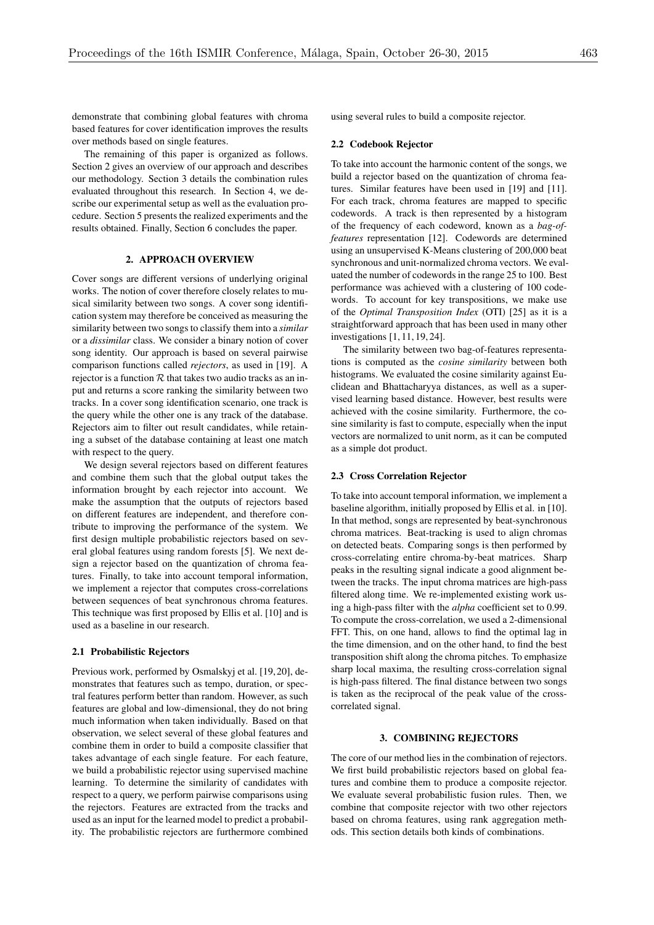demonstrate that combining global features with chroma based features for cover identification improves the results over methods based on single features.

The remaining of this paper is organized as follows. Section 2 gives an overview of our approach and describes our methodology. Section 3 details the combination rules evaluated throughout this research. In Section 4, we describe our experimental setup as well as the evaluation procedure. Section 5 presents the realized experiments and the results obtained. Finally, Section 6 concludes the paper.

# 2. APPROACH OVERVIEW

Cover songs are different versions of underlying original works. The notion of cover therefore closely relates to musical similarity between two songs. A cover song identification system may therefore be conceived as measuring the similarity between two songs to classify them into a *similar* or a *dissimilar* class. We consider a binary notion of cover song identity. Our approach is based on several pairwise comparison functions called *rejectors*, as used in [19]. A rejector is a function  $R$  that takes two audio tracks as an input and returns a score ranking the similarity between two tracks. In a cover song identification scenario, one track is the query while the other one is any track of the database. Rejectors aim to filter out result candidates, while retaining a subset of the database containing at least one match with respect to the query.

We design several rejectors based on different features and combine them such that the global output takes the information brought by each rejector into account. We make the assumption that the outputs of rejectors based on different features are independent, and therefore contribute to improving the performance of the system. We first design multiple probabilistic rejectors based on several global features using random forests [5]. We next design a rejector based on the quantization of chroma features. Finally, to take into account temporal information, we implement a rejector that computes cross-correlations between sequences of beat synchronous chroma features. This technique was first proposed by Ellis et al. [10] and is used as a baseline in our research.

#### 2.1 Probabilistic Rejectors

Previous work, performed by Osmalskyj et al. [19, 20], demonstrates that features such as tempo, duration, or spectral features perform better than random. However, as such features are global and low-dimensional, they do not bring much information when taken individually. Based on that observation, we select several of these global features and combine them in order to build a composite classifier that takes advantage of each single feature. For each feature, we build a probabilistic rejector using supervised machine learning. To determine the similarity of candidates with respect to a query, we perform pairwise comparisons using the rejectors. Features are extracted from the tracks and used as an input for the learned model to predict a probability. The probabilistic rejectors are furthermore combined using several rules to build a composite rejector.

#### 2.2 Codebook Rejector

To take into account the harmonic content of the songs, we build a rejector based on the quantization of chroma features. Similar features have been used in [19] and [11]. For each track, chroma features are mapped to specific codewords. A track is then represented by a histogram of the frequency of each codeword, known as a *bag-offeatures* representation [12]. Codewords are determined using an unsupervised K-Means clustering of 200,000 beat synchronous and unit-normalized chroma vectors. We evaluated the number of codewords in the range 25 to 100. Best performance was achieved with a clustering of 100 codewords. To account for key transpositions, we make use of the *Optimal Transposition Index* (OTI) [25] as it is a straightforward approach that has been used in many other investigations [1, 11, 19, 24].

The similarity between two bag-of-features representations is computed as the *cosine similarity* between both histograms. We evaluated the cosine similarity against Euclidean and Bhattacharyya distances, as well as a supervised learning based distance. However, best results were achieved with the cosine similarity. Furthermore, the cosine similarity is fast to compute, especially when the input vectors are normalized to unit norm, as it can be computed as a simple dot product.

#### 2.3 Cross Correlation Rejector

To take into account temporal information, we implement a baseline algorithm, initially proposed by Ellis et al. in [10]. In that method, songs are represented by beat-synchronous chroma matrices. Beat-tracking is used to align chromas on detected beats. Comparing songs is then performed by cross-correlating entire chroma-by-beat matrices. Sharp peaks in the resulting signal indicate a good alignment between the tracks. The input chroma matrices are high-pass filtered along time. We re-implemented existing work using a high-pass filter with the *alpha* coefficient set to 0.99. To compute the cross-correlation, we used a 2-dimensional FFT. This, on one hand, allows to find the optimal lag in the time dimension, and on the other hand, to find the best transposition shift along the chroma pitches. To emphasize sharp local maxima, the resulting cross-correlation signal is high-pass filtered. The final distance between two songs is taken as the reciprocal of the peak value of the crosscorrelated signal.

# 3. COMBINING REJECTORS

The core of our method lies in the combination of rejectors. We first build probabilistic rejectors based on global features and combine them to produce a composite rejector. We evaluate several probabilistic fusion rules. Then, we combine that composite rejector with two other rejectors based on chroma features, using rank aggregation methods. This section details both kinds of combinations.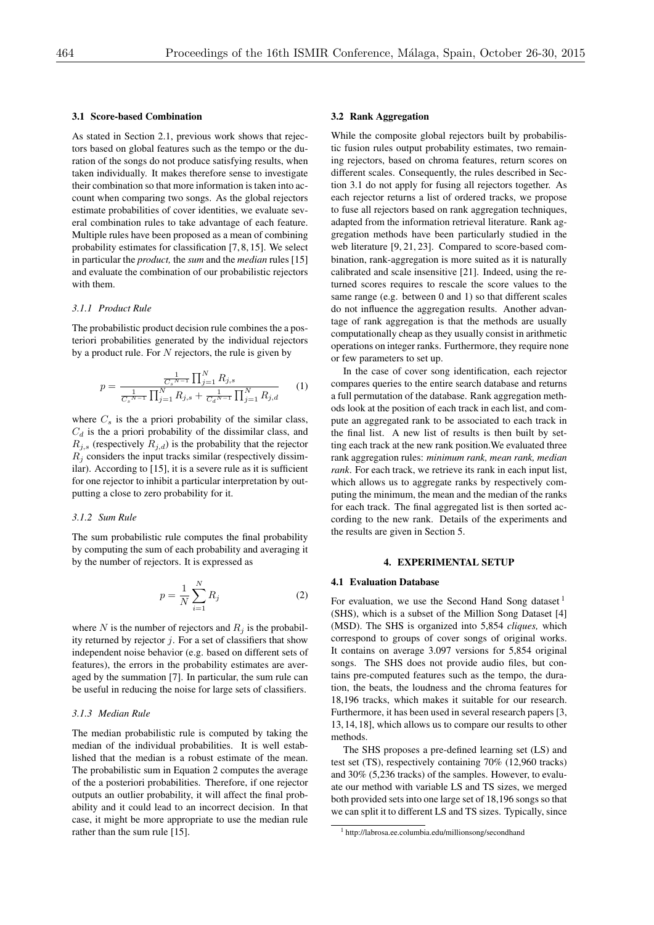## 3.1 Score-based Combination

As stated in Section 2.1, previous work shows that rejectors based on global features such as the tempo or the duration of the songs do not produce satisfying results, when taken individually. It makes therefore sense to investigate their combination so that more information is taken into account when comparing two songs. As the global rejectors estimate probabilities of cover identities, we evaluate several combination rules to take advantage of each feature. Multiple rules have been proposed as a mean of combining probability estimates for classification [7, 8, 15]. We select in particular the *product,* the *sum* and the *median* rules [15] and evaluate the combination of our probabilistic rejectors with them.

# *3.1.1 Product Rule*

The probabilistic product decision rule combines the a posteriori probabilities generated by the individual rejectors by a product rule. For *N* rejectors, the rule is given by

$$
p = \frac{\frac{1}{C_s^{N-1}} \prod_{j=1}^{N} R_{j,s}}{\frac{1}{C_s^{N-1}} \prod_{j=1}^{N} R_{j,s} + \frac{1}{C_d^{N-1}} \prod_{j=1}^{N} R_{j,d}}
$$
(1)

where  $C_s$  is the a priori probability of the similar class,  $C_d$  is the a priori probability of the dissimilar class, and  $R_{j,s}$  (respectively  $R_{j,d}$ ) is the probability that the rejector  $R_i$  considers the input tracks similar (respectively dissimilar). According to [15], it is a severe rule as it is sufficient for one rejector to inhibit a particular interpretation by outputting a close to zero probability for it.

#### *3.1.2 Sum Rule*

The sum probabilistic rule computes the final probability by computing the sum of each probability and averaging it by the number of rejectors. It is expressed as

$$
p = \frac{1}{N} \sum_{i=1}^{N} R_j
$$
 (2)

where *N* is the number of rejectors and  $R_i$  is the probability returned by rejector *j*. For a set of classifiers that show independent noise behavior (e.g. based on different sets of features), the errors in the probability estimates are averaged by the summation [7]. In particular, the sum rule can be useful in reducing the noise for large sets of classifiers.

#### *3.1.3 Median Rule*

The median probabilistic rule is computed by taking the median of the individual probabilities. It is well established that the median is a robust estimate of the mean. The probabilistic sum in Equation 2 computes the average of the a posteriori probabilities. Therefore, if one rejector outputs an outlier probability, it will affect the final probability and it could lead to an incorrect decision. In that case, it might be more appropriate to use the median rule rather than the sum rule [15].

## 3.2 Rank Aggregation

While the composite global rejectors built by probabilistic fusion rules output probability estimates, two remaining rejectors, based on chroma features, return scores on different scales. Consequently, the rules described in Section 3.1 do not apply for fusing all rejectors together. As each rejector returns a list of ordered tracks, we propose to fuse all rejectors based on rank aggregation techniques, adapted from the information retrieval literature. Rank aggregation methods have been particularly studied in the web literature [9, 21, 23]. Compared to score-based combination, rank-aggregation is more suited as it is naturally calibrated and scale insensitive [21]. Indeed, using the returned scores requires to rescale the score values to the same range (e.g. between 0 and 1) so that different scales do not influence the aggregation results. Another advantage of rank aggregation is that the methods are usually computationally cheap as they usually consist in arithmetic operations on integer ranks. Furthermore, they require none or few parameters to set up.

In the case of cover song identification, each rejector compares queries to the entire search database and returns a full permutation of the database. Rank aggregation methods look at the position of each track in each list, and compute an aggregated rank to be associated to each track in the final list. A new list of results is then built by setting each track at the new rank position.We evaluated three rank aggregation rules: *minimum rank, mean rank, median rank*. For each track, we retrieve its rank in each input list, which allows us to aggregate ranks by respectively computing the minimum, the mean and the median of the ranks for each track. The final aggregated list is then sorted according to the new rank. Details of the experiments and the results are given in Section 5.

# 4. EXPERIMENTAL SETUP

## 4.1 Evaluation Database

For evaluation, we use the Second Hand Song dataset  $<sup>1</sup>$ </sup> (SHS), which is a subset of the Million Song Dataset [4] (MSD). The SHS is organized into 5,854 *cliques,* which correspond to groups of cover songs of original works. It contains on average 3.097 versions for 5,854 original songs. The SHS does not provide audio files, but contains pre-computed features such as the tempo, the duration, the beats, the loudness and the chroma features for 18,196 tracks, which makes it suitable for our research. Furthermore, it has been used in several research papers [3, 13, 14, 18], which allows us to compare our results to other methods.

The SHS proposes a pre-defined learning set (LS) and test set (TS), respectively containing 70% (12,960 tracks) and 30% (5,236 tracks) of the samples. However, to evaluate our method with variable LS and TS sizes, we merged both provided sets into one large set of 18,196 songs so that we can split it to different LS and TS sizes. Typically, since

<sup>1</sup> http://labrosa.ee.columbia.edu/millionsong/secondhand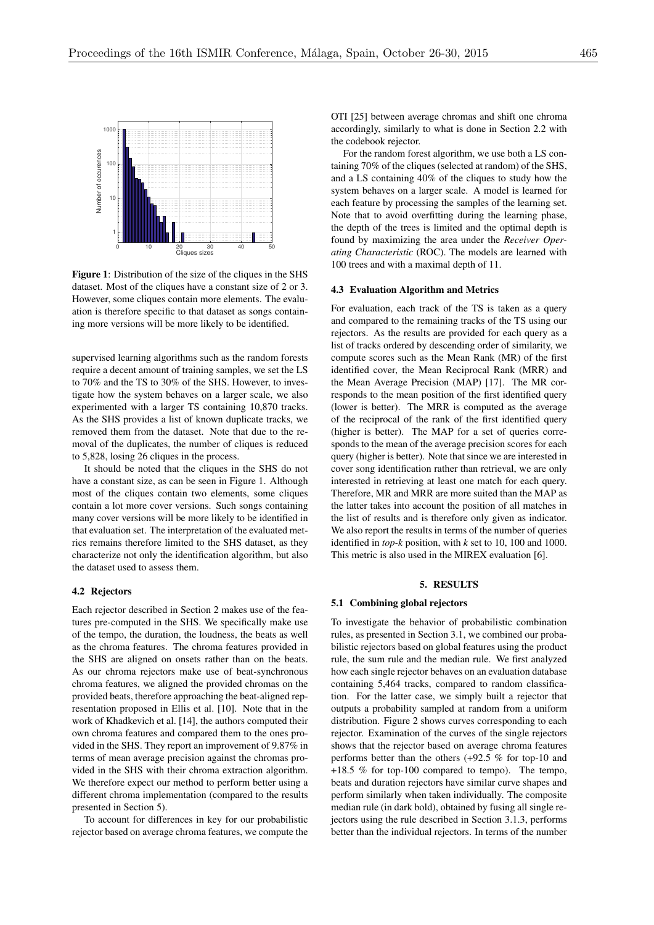

Figure 1: Distribution of the size of the cliques in the SHS dataset. Most of the cliques have a constant size of 2 or 3. However, some cliques contain more elements. The evaluation is therefore specific to that dataset as songs containing more versions will be more likely to be identified.

supervised learning algorithms such as the random forests require a decent amount of training samples, we set the LS to 70% and the TS to 30% of the SHS. However, to investigate how the system behaves on a larger scale, we also experimented with a larger TS containing 10,870 tracks. As the SHS provides a list of known duplicate tracks, we removed them from the dataset. Note that due to the removal of the duplicates, the number of cliques is reduced to 5,828, losing 26 cliques in the process.

It should be noted that the cliques in the SHS do not have a constant size, as can be seen in Figure 1. Although most of the cliques contain two elements, some cliques contain a lot more cover versions. Such songs containing many cover versions will be more likely to be identified in that evaluation set. The interpretation of the evaluated metrics remains therefore limited to the SHS dataset, as they characterize not only the identification algorithm, but also the dataset used to assess them.

#### 4.2 Rejectors

Each rejector described in Section 2 makes use of the features pre-computed in the SHS. We specifically make use of the tempo, the duration, the loudness, the beats as well as the chroma features. The chroma features provided in the SHS are aligned on onsets rather than on the beats. As our chroma rejectors make use of beat-synchronous chroma features, we aligned the provided chromas on the provided beats, therefore approaching the beat-aligned representation proposed in Ellis et al. [10]. Note that in the work of Khadkevich et al. [14], the authors computed their own chroma features and compared them to the ones provided in the SHS. They report an improvement of 9.87% in terms of mean average precision against the chromas provided in the SHS with their chroma extraction algorithm. We therefore expect our method to perform better using a different chroma implementation (compared to the results presented in Section 5).

To account for differences in key for our probabilistic rejector based on average chroma features, we compute the

OTI [25] between average chromas and shift one chroma accordingly, similarly to what is done in Section 2.2 with the codebook rejector.

For the random forest algorithm, we use both a LS containing 70% of the cliques (selected at random) of the SHS, and a LS containing 40% of the cliques to study how the system behaves on a larger scale. A model is learned for each feature by processing the samples of the learning set. Note that to avoid overfitting during the learning phase, the depth of the trees is limited and the optimal depth is found by maximizing the area under the *Receiver Operating Characteristic* (ROC). The models are learned with 100 trees and with a maximal depth of 11.

#### 4.3 Evaluation Algorithm and Metrics

For evaluation, each track of the TS is taken as a query and compared to the remaining tracks of the TS using our rejectors. As the results are provided for each query as a list of tracks ordered by descending order of similarity, we compute scores such as the Mean Rank (MR) of the first identified cover, the Mean Reciprocal Rank (MRR) and the Mean Average Precision (MAP) [17]. The MR corresponds to the mean position of the first identified query (lower is better). The MRR is computed as the average of the reciprocal of the rank of the first identified query (higher is better). The MAP for a set of queries corresponds to the mean of the average precision scores for each query (higher is better). Note that since we are interested in cover song identification rather than retrieval, we are only interested in retrieving at least one match for each query. Therefore, MR and MRR are more suited than the MAP as the latter takes into account the position of all matches in the list of results and is therefore only given as indicator. We also report the results in terms of the number of queries identified in *top-k* position, with *k* set to 10, 100 and 1000. This metric is also used in the MIREX evaluation [6].

## 5. RESULTS

#### 5.1 Combining global rejectors

To investigate the behavior of probabilistic combination rules, as presented in Section 3.1, we combined our probabilistic rejectors based on global features using the product rule, the sum rule and the median rule. We first analyzed how each single rejector behaves on an evaluation database containing 5,464 tracks, compared to random classification. For the latter case, we simply built a rejector that outputs a probability sampled at random from a uniform distribution. Figure 2 shows curves corresponding to each rejector. Examination of the curves of the single rejectors shows that the rejector based on average chroma features performs better than the others (+92.5 % for top-10 and +18.5 % for top-100 compared to tempo). The tempo, beats and duration rejectors have similar curve shapes and perform similarly when taken individually. The composite median rule (in dark bold), obtained by fusing all single rejectors using the rule described in Section 3.1.3, performs better than the individual rejectors. In terms of the number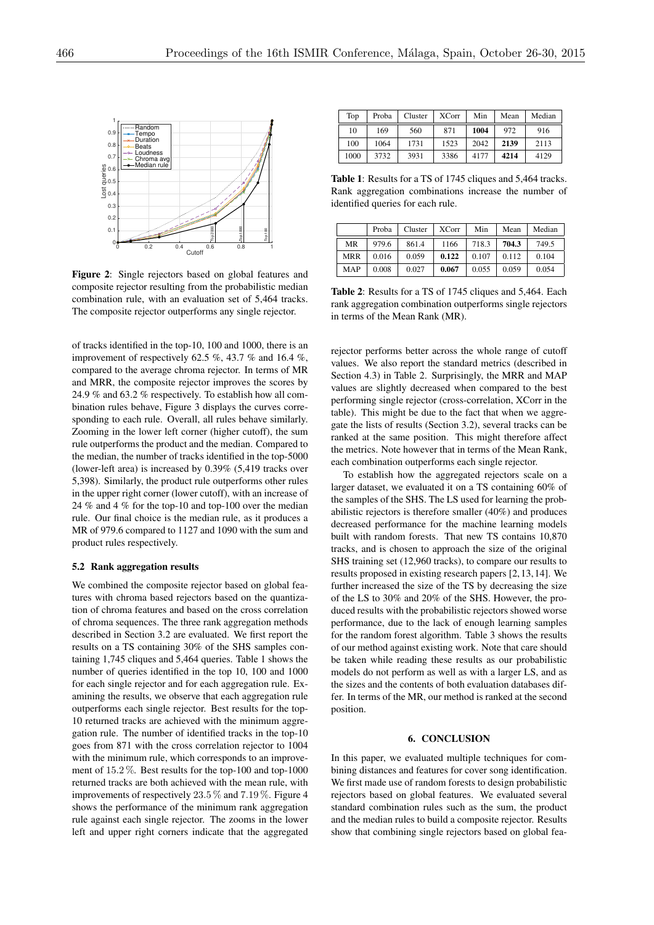

Figure 2: Single rejectors based on global features and composite rejector resulting from the probabilistic median combination rule, with an evaluation set of 5,464 tracks. The composite rejector outperforms any single rejector.

of tracks identified in the top-10, 100 and 1000, there is an improvement of respectively 62.5 %, 43.7 % and 16.4 %. compared to the average chroma rejector. In terms of MR and MRR, the composite rejector improves the scores by 24.9 % and 63.2 % respectively. To establish how all combination rules behave, Figure 3 displays the curves corresponding to each rule. Overall, all rules behave similarly. Zooming in the lower left corner (higher cutoff), the sum rule outperforms the product and the median. Compared to the median, the number of tracks identified in the top-5000 (lower-left area) is increased by 0.39% (5,419 tracks over 5,398). Similarly, the product rule outperforms other rules in the upper right corner (lower cutoff), with an increase of 24 % and 4 % for the top-10 and top-100 over the median rule. Our final choice is the median rule, as it produces a MR of 979.6 compared to 1127 and 1090 with the sum and product rules respectively.

#### 5.2 Rank aggregation results

We combined the composite rejector based on global features with chroma based rejectors based on the quantization of chroma features and based on the cross correlation of chroma sequences. The three rank aggregation methods described in Section 3.2 are evaluated. We first report the results on a TS containing 30% of the SHS samples containing 1,745 cliques and 5,464 queries. Table 1 shows the number of queries identified in the top 10, 100 and 1000 for each single rejector and for each aggregation rule. Examining the results, we observe that each aggregation rule outperforms each single rejector. Best results for the top-10 returned tracks are achieved with the minimum aggregation rule. The number of identified tracks in the top-10 goes from 871 with the cross correlation rejector to 1004 with the minimum rule, which corresponds to an improvement of 15*.*2 %*.* Best results for the top-100 and top-1000 returned tracks are both achieved with the mean rule, with improvements of respectively 23*.*5 % and 7*.*19 %. Figure 4 shows the performance of the minimum rank aggregation rule against each single rejector. The zooms in the lower left and upper right corners indicate that the aggregated

| Top  | Proba | Cluster | <b>XCorr</b> | Min  | Mean | Median |
|------|-------|---------|--------------|------|------|--------|
| 10   | 169   | 560     | 871          | 1004 | 972  | 916    |
| 100  | 1064  | 1731    | 1523         | 2042 | 2139 | 2113   |
| 1000 | 3732  | 3931    | 3386         | 4177 | 4214 | 4129   |

Table 1: Results for a TS of 1745 cliques and 5,464 tracks. Rank aggregation combinations increase the number of identified queries for each rule.

|            | Proba | Cluster | <b>XCorr</b> | Min   | Mean  | Median |
|------------|-------|---------|--------------|-------|-------|--------|
| MR         | 979.6 | 861.4   | 1166         | 718.3 | 704.3 | 749.5  |
| <b>MRR</b> | 0.016 | 0.059   | 0.122        | 0.107 | 0.112 | 0.104  |
| MAP        | 0.008 | 0.027   | 0.067        | 0.055 | 0.059 | 0.054  |

Table 2: Results for a TS of 1745 cliques and 5,464. Each rank aggregation combination outperforms single rejectors in terms of the Mean Rank (MR).

rejector performs better across the whole range of cutoff values. We also report the standard metrics (described in Section 4.3) in Table 2. Surprisingly, the MRR and MAP values are slightly decreased when compared to the best performing single rejector (cross-correlation, XCorr in the table). This might be due to the fact that when we aggregate the lists of results (Section 3.2), several tracks can be ranked at the same position. This might therefore affect the metrics. Note however that in terms of the Mean Rank, each combination outperforms each single rejector.

To establish how the aggregated rejectors scale on a larger dataset, we evaluated it on a TS containing 60% of the samples of the SHS. The LS used for learning the probabilistic rejectors is therefore smaller (40%) and produces decreased performance for the machine learning models built with random forests. That new TS contains 10,870 tracks, and is chosen to approach the size of the original SHS training set (12,960 tracks), to compare our results to results proposed in existing research papers [2, 13, 14]. We further increased the size of the TS by decreasing the size of the LS to 30% and 20% of the SHS. However, the produced results with the probabilistic rejectors showed worse performance, due to the lack of enough learning samples for the random forest algorithm. Table 3 shows the results of our method against existing work. Note that care should be taken while reading these results as our probabilistic models do not perform as well as with a larger LS, and as the sizes and the contents of both evaluation databases differ. In terms of the MR, our method is ranked at the second position.

## 6. CONCLUSION

In this paper, we evaluated multiple techniques for combining distances and features for cover song identification. We first made use of random forests to design probabilistic rejectors based on global features. We evaluated several standard combination rules such as the sum, the product and the median rules to build a composite rejector. Results show that combining single rejectors based on global fea-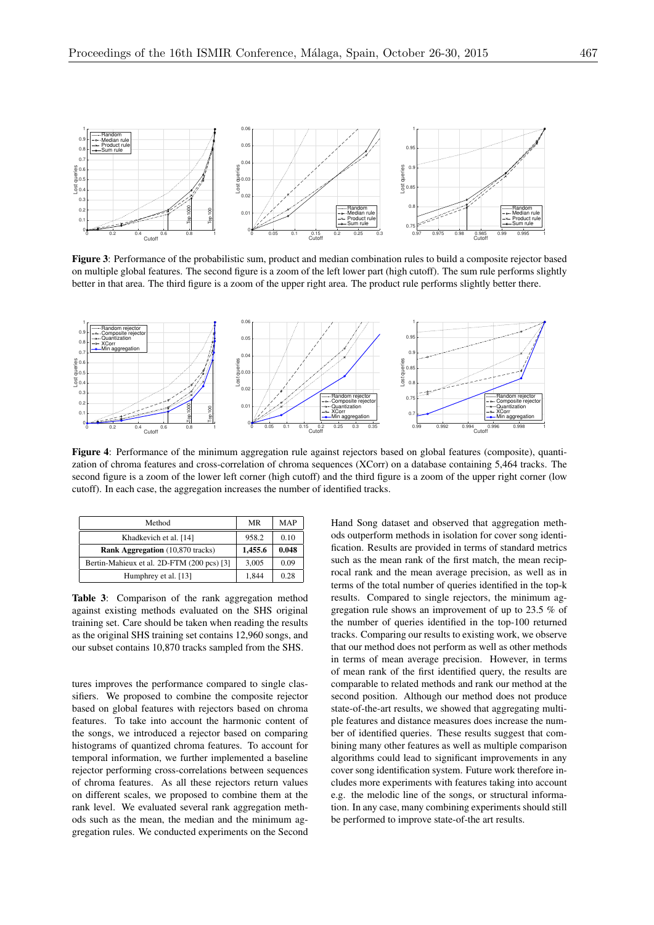

Figure 3: Performance of the probabilistic sum, product and median combination rules to build a composite rejector based on multiple global features. The second figure is a zoom of the left lower part (high cutoff). The sum rule performs slightly better in that area. The third figure is a zoom of the upper right area. The product rule performs slightly better there.



Figure 4: Performance of the minimum aggregation rule against rejectors based on global features (composite), quantization of chroma features and cross-correlation of chroma sequences (XCorr) on a database containing 5,464 tracks. The second figure is a zoom of the lower left corner (high cutoff) and the third figure is a zoom of the upper right corner (low cutoff). In each case, the aggregation increases the number of identified tracks.

| Method                                     | MR      | MAP   |
|--------------------------------------------|---------|-------|
| Khadkevich et al. [14]                     | 958.2   | 0.10  |
| <b>Rank Aggregation</b> (10,870 tracks)    | 1,455.6 | 0.048 |
| Bertin-Mahieux et al. 2D-FTM (200 pcs) [3] | 3,005   | 0.09  |
| Humphrey et al. [13]                       | 1,844   | 0.28  |

Table 3: Comparison of the rank aggregation method against existing methods evaluated on the SHS original training set. Care should be taken when reading the results as the original SHS training set contains 12,960 songs, and our subset contains 10,870 tracks sampled from the SHS.

tures improves the performance compared to single classifiers. We proposed to combine the composite rejector based on global features with rejectors based on chroma features. To take into account the harmonic content of the songs, we introduced a rejector based on comparing histograms of quantized chroma features. To account for temporal information, we further implemented a baseline rejector performing cross-correlations between sequences of chroma features. As all these rejectors return values on different scales, we proposed to combine them at the rank level. We evaluated several rank aggregation methods such as the mean, the median and the minimum aggregation rules. We conducted experiments on the Second Hand Song dataset and observed that aggregation methods outperform methods in isolation for cover song identification. Results are provided in terms of standard metrics such as the mean rank of the first match, the mean reciprocal rank and the mean average precision, as well as in terms of the total number of queries identified in the top-k results. Compared to single rejectors, the minimum aggregation rule shows an improvement of up to 23.5 % of the number of queries identified in the top-100 returned tracks. Comparing our results to existing work, we observe that our method does not perform as well as other methods in terms of mean average precision. However, in terms of mean rank of the first identified query, the results are comparable to related methods and rank our method at the second position. Although our method does not produce state-of-the-art results, we showed that aggregating multiple features and distance measures does increase the number of identified queries. These results suggest that combining many other features as well as multiple comparison algorithms could lead to significant improvements in any cover song identification system. Future work therefore includes more experiments with features taking into account e.g. the melodic line of the songs, or structural information. In any case, many combining experiments should still be performed to improve state-of-the art results.